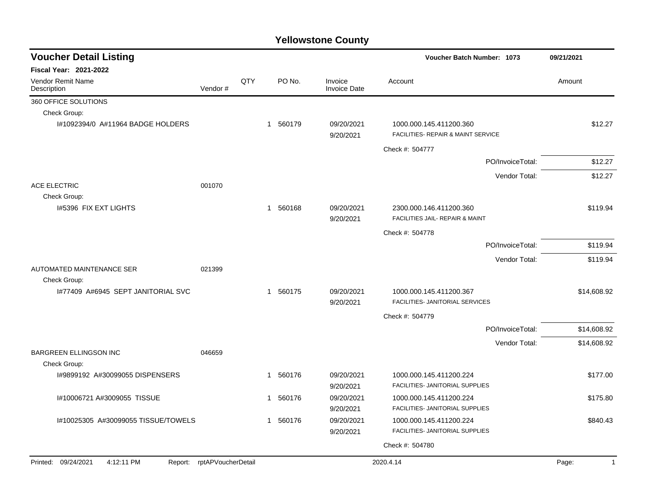| <b>Voucher Detail Listing</b>                 |                            |     |              |          |                                | Voucher Batch Number: 1073                                    |                  | 09/21/2021  |
|-----------------------------------------------|----------------------------|-----|--------------|----------|--------------------------------|---------------------------------------------------------------|------------------|-------------|
| <b>Fiscal Year: 2021-2022</b>                 |                            |     |              |          |                                |                                                               |                  |             |
| Vendor Remit Name<br>Description              | Vendor#                    | QTY |              | PO No.   | Invoice<br><b>Invoice Date</b> | Account                                                       |                  | Amount      |
| 360 OFFICE SOLUTIONS                          |                            |     |              |          |                                |                                                               |                  |             |
| Check Group:                                  |                            |     |              |          |                                |                                                               |                  |             |
| I#1092394/0 A#11964 BADGE HOLDERS             |                            |     |              | 1 560179 | 09/20/2021<br>9/20/2021        | 1000.000.145.411200.360<br>FACILITIES- REPAIR & MAINT SERVICE |                  | \$12.27     |
|                                               |                            |     |              |          |                                | Check #: 504777                                               |                  |             |
|                                               |                            |     |              |          |                                |                                                               | PO/InvoiceTotal: | \$12.27     |
|                                               |                            |     |              |          |                                |                                                               | Vendor Total:    | \$12.27     |
| ACE ELECTRIC                                  | 001070                     |     |              |          |                                |                                                               |                  |             |
| Check Group:                                  |                            |     |              |          |                                |                                                               |                  |             |
| 1#5396 FIX EXT LIGHTS                         |                            |     | $\mathbf{1}$ | 560168   | 09/20/2021<br>9/20/2021        | 2300.000.146.411200.360<br>FACILITIES JAIL- REPAIR & MAINT    |                  | \$119.94    |
|                                               |                            |     |              |          |                                | Check #: 504778                                               |                  |             |
|                                               |                            |     |              |          |                                |                                                               | PO/InvoiceTotal: | \$119.94    |
|                                               |                            |     |              |          |                                |                                                               | Vendor Total:    | \$119.94    |
| AUTOMATED MAINTENANCE SER                     | 021399                     |     |              |          |                                |                                                               |                  |             |
| Check Group:                                  |                            |     |              |          |                                |                                                               |                  |             |
| 1#77409 A#6945 SEPT JANITORIAL SVC            |                            |     |              | 1 560175 | 09/20/2021<br>9/20/2021        | 1000.000.145.411200.367<br>FACILITIES- JANITORIAL SERVICES    |                  | \$14,608.92 |
|                                               |                            |     |              |          |                                | Check #: 504779                                               |                  |             |
|                                               |                            |     |              |          |                                |                                                               | PO/InvoiceTotal: | \$14,608.92 |
|                                               |                            |     |              |          |                                |                                                               |                  |             |
| <b>BARGREEN ELLINGSON INC</b><br>Check Group: | 046659                     |     |              |          |                                |                                                               | Vendor Total:    | \$14,608.92 |
| 1#9899192 A#30099055 DISPENSERS               |                            |     | -1           | 560176   | 09/20/2021<br>9/20/2021        | 1000.000.145.411200.224<br>FACILITIES- JANITORIAL SUPPLIES    |                  | \$177.00    |
| I#10006721 A#3009055 TISSUE                   |                            |     | $\mathbf 1$  | 560176   | 09/20/2021<br>9/20/2021        | 1000.000.145.411200.224<br>FACILITIES- JANITORIAL SUPPLIES    |                  | \$175.80    |
| I#10025305 A#30099055 TISSUE/TOWELS           |                            |     | $\mathbf{1}$ | 560176   | 09/20/2021<br>9/20/2021        | 1000.000.145.411200.224<br>FACILITIES- JANITORIAL SUPPLIES    |                  | \$840.43    |
|                                               |                            |     |              |          |                                | Check #: 504780                                               |                  |             |
|                                               |                            |     |              |          |                                |                                                               |                  |             |
| Printed: 09/24/2021<br>4:12:11 PM             | Report: rptAPVoucherDetail |     |              |          |                                | 2020.4.14                                                     |                  | Page:<br>-1 |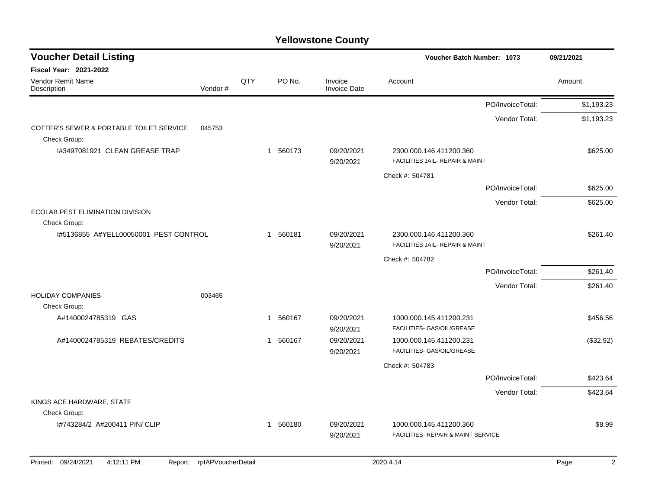| <b>Voucher Detail Listing</b>                            |                    |     |          |                                | Voucher Batch Number: 1073                                 |                  | 09/21/2021              |
|----------------------------------------------------------|--------------------|-----|----------|--------------------------------|------------------------------------------------------------|------------------|-------------------------|
| Fiscal Year: 2021-2022                                   |                    |     |          |                                |                                                            |                  |                         |
| Vendor Remit Name<br>Description                         | Vendor#            | QTY | PO No.   | Invoice<br><b>Invoice Date</b> | Account                                                    |                  | Amount                  |
|                                                          |                    |     |          |                                |                                                            | PO/InvoiceTotal: | \$1,193.23              |
|                                                          |                    |     |          |                                |                                                            | Vendor Total:    | \$1,193.23              |
| COTTER'S SEWER & PORTABLE TOILET SERVICE<br>Check Group: | 045753             |     |          |                                |                                                            |                  |                         |
| I#3497081921 CLEAN GREASE TRAP                           |                    |     | 1 560173 | 09/20/2021<br>9/20/2021        | 2300.000.146.411200.360<br>FACILITIES JAIL- REPAIR & MAINT |                  | \$625.00                |
|                                                          |                    |     |          |                                | Check #: 504781                                            |                  |                         |
|                                                          |                    |     |          |                                |                                                            | PO/InvoiceTotal: | \$625.00                |
|                                                          |                    |     |          |                                |                                                            | Vendor Total:    | \$625.00                |
| ECOLAB PEST ELIMINATION DIVISION<br>Check Group:         |                    |     |          |                                |                                                            |                  |                         |
| 1#5136855 A#YELL00050001 PEST CONTROL                    |                    |     | 1 560181 | 09/20/2021                     | 2300.000.146.411200.360                                    |                  | \$261.40                |
|                                                          |                    |     |          | 9/20/2021                      | FACILITIES JAIL- REPAIR & MAINT                            |                  |                         |
|                                                          |                    |     |          |                                | Check #: 504782                                            |                  |                         |
|                                                          |                    |     |          |                                |                                                            | PO/InvoiceTotal: | \$261.40                |
|                                                          |                    |     |          |                                |                                                            | Vendor Total:    | \$261.40                |
| <b>HOLIDAY COMPANIES</b>                                 | 003465             |     |          |                                |                                                            |                  |                         |
| Check Group:<br>A#1400024785319 GAS                      |                    |     | 1 560167 | 09/20/2021                     | 1000.000.145.411200.231                                    |                  | \$456.56                |
|                                                          |                    |     |          | 9/20/2021                      | FACILITIES- GAS/OIL/GREASE                                 |                  |                         |
| A#1400024785319 REBATES/CREDITS                          |                    |     | 1 560167 | 09/20/2021                     | 1000.000.145.411200.231                                    |                  | (\$32.92)               |
|                                                          |                    |     |          | 9/20/2021                      | FACILITIES- GAS/OIL/GREASE                                 |                  |                         |
|                                                          |                    |     |          |                                | Check #: 504783                                            |                  |                         |
|                                                          |                    |     |          |                                |                                                            | PO/InvoiceTotal: | \$423.64                |
|                                                          |                    |     |          |                                |                                                            | Vendor Total:    | \$423.64                |
| KINGS ACE HARDWARE, STATE                                |                    |     |          |                                |                                                            |                  |                         |
| Check Group:<br>I#743284/2 A#200411 PIN/ CLIP            |                    |     | 1 560180 | 09/20/2021                     | 1000.000.145.411200.360                                    |                  | \$8.99                  |
|                                                          |                    |     |          | 9/20/2021                      | FACILITIES- REPAIR & MAINT SERVICE                         |                  |                         |
|                                                          |                    |     |          |                                |                                                            |                  |                         |
| Printed: 09/24/2021<br>4:12:11 PM<br>Report:             | rptAPVoucherDetail |     |          |                                | 2020.4.14                                                  |                  | Page:<br>$\overline{2}$ |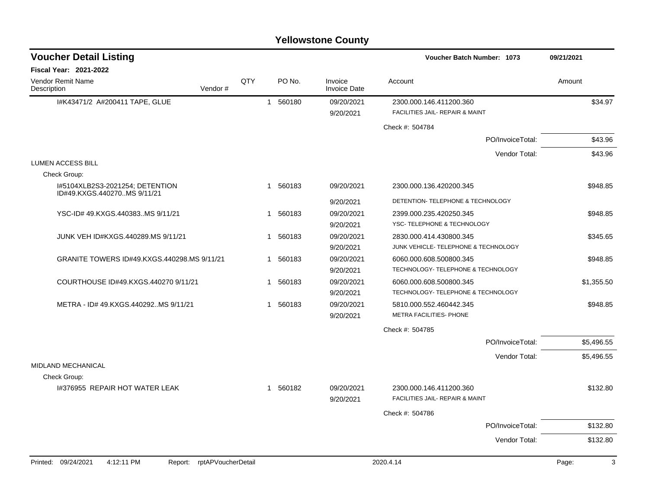### I#K43471/2 A#200411 TAPE, GLUE 1 560180 1 560180 09/20/2021 2300.000.146.411200.360 9/20/2021 FACILITIES JAIL- REPAIR & MAINT Check #: 504784 PO/InvoiceTotal: \$43.96 Vendor Total: \$43.96 LUMEN ACCESS BILL Check Group: I#5104XLB2S3-2021254; DETENTION ID#49.KXGS.440270..MS 9/11/21 1 560183 09/20/2021 2300.000.136.420200.345 \$948.85 9/20/2021 DETENTION- TELEPHONE & TECHNOLOGY YSC-ID# 49.KXGS.440383..MS 9/11/21 1 560183 09/20/2021 2399.000.235.420250.345 \$948.85 9/20/2021 YSC- TELEPHONE & TECHNOLOGY JUNK VEH ID#KXGS.440289.MS 9/11/21 1 560183 09/20/2021 2830.000.414.430800.345 \$345.65 9/20/2021 JUNK VEHICLE- TELEPHONE & TECHNOLOGY GRANITE TOWERS ID#49.KXGS.440298.MS 9/11/21 1 560183 09/20/2021 6060.000.608.500800.345 \$948.85 9/20/2021 TECHNOLOGY- TELEPHONE & TECHNOLOGY COURTHOUSE ID#49.KXGS.440270 9/11/21 1 560183 09/20/2021 6060.000.608.500800.345 \$1,355.50 9/20/2021 TECHNOLOGY- TELEPHONE & TECHNOLOGY METRA - ID# 49.KXGS.440292..MS 9/11/21 1 560183 1 560183 09/20/2021 5810.000.552.460442.345 9/20/2021 METRA FACILITIES- PHONE Check #: 504785 PO/InvoiceTotal: \$5,496.55 Vendor Total: \$5,496.55 MIDLAND MECHANICAL Check Group: I#376955 REPAIR HOT WATER LEAK 1 560182 09/20/2021 2300.000.146.411200.360 \$132.80 9/20/2021 FACILITIES JAIL- REPAIR & MAINT Check #: 504786 PO/InvoiceTotal: \$132.80 Vendor Total: \$132.80 **Voucher Batch Number: Yellowstone County** Vendor Remit Name **Description Voucher Detail Listing Fiscal Year: 2021-2022 1073 09/21/2021** PO No. Invoice Account Amount Amount Amount Amount Vendor # QTY Invoice Date Printed: 09/24/2021 4:12:11 PM Report: rptAPVoucherDetail 2020.4.14 2020.4.14 Page: 3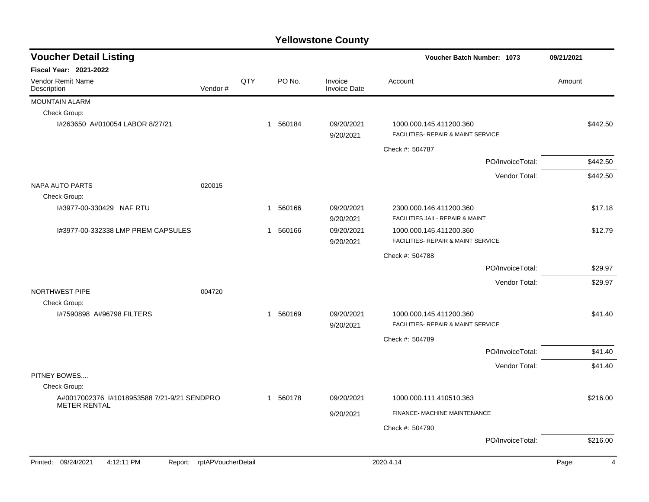| <b>Voucher Detail Listing</b>                                   |     |          |                                | Voucher Batch Number: 1073                                    | 09/21/2021              |
|-----------------------------------------------------------------|-----|----------|--------------------------------|---------------------------------------------------------------|-------------------------|
| Fiscal Year: 2021-2022                                          |     |          |                                |                                                               |                         |
| Vendor Remit Name<br>Vendor#<br>Description                     | QTY | PO No.   | Invoice<br><b>Invoice Date</b> | Account                                                       | Amount                  |
| MOUNTAIN ALARM                                                  |     |          |                                |                                                               |                         |
| Check Group:                                                    |     |          |                                |                                                               |                         |
| I#263650 A#010054 LABOR 8/27/21                                 |     | 1 560184 | 09/20/2021<br>9/20/2021        | 1000.000.145.411200.360<br>FACILITIES- REPAIR & MAINT SERVICE | \$442.50                |
|                                                                 |     |          |                                | Check #: 504787                                               |                         |
|                                                                 |     |          |                                | PO/InvoiceTotal:                                              | \$442.50                |
|                                                                 |     |          |                                | Vendor Total:                                                 | \$442.50                |
| <b>NAPA AUTO PARTS</b><br>020015                                |     |          |                                |                                                               |                         |
| Check Group:                                                    |     |          |                                |                                                               |                         |
| I#3977-00-330429 NAF RTU                                        |     | 1 560166 | 09/20/2021<br>9/20/2021        | 2300.000.146.411200.360<br>FACILITIES JAIL- REPAIR & MAINT    | \$17.18                 |
| I#3977-00-332338 LMP PREM CAPSULES                              |     | 1 560166 | 09/20/2021<br>9/20/2021        | 1000.000.145.411200.360<br>FACILITIES- REPAIR & MAINT SERVICE | \$12.79                 |
|                                                                 |     |          |                                | Check #: 504788                                               |                         |
|                                                                 |     |          |                                | PO/InvoiceTotal:                                              | \$29.97                 |
|                                                                 |     |          |                                | Vendor Total:                                                 | \$29.97                 |
| NORTHWEST PIPE<br>004720                                        |     |          |                                |                                                               |                         |
| Check Group:                                                    |     |          |                                |                                                               |                         |
| I#7590898 A#96798 FILTERS                                       |     | 1 560169 | 09/20/2021                     | 1000.000.145.411200.360                                       | \$41.40                 |
|                                                                 |     |          | 9/20/2021                      | FACILITIES- REPAIR & MAINT SERVICE                            |                         |
|                                                                 |     |          |                                | Check #: 504789                                               |                         |
|                                                                 |     |          |                                | PO/InvoiceTotal:                                              | \$41.40                 |
|                                                                 |     |          |                                | Vendor Total:                                                 | \$41.40                 |
| PITNEY BOWES                                                    |     |          |                                |                                                               |                         |
| Check Group:<br>A#0017002376 1#1018953588 7/21-9/21 SENDPRO     |     | 1 560178 | 09/20/2021                     | 1000.000.111.410510.363                                       | \$216.00                |
| <b>METER RENTAL</b>                                             |     |          |                                |                                                               |                         |
|                                                                 |     |          | 9/20/2021                      | FINANCE- MACHINE MAINTENANCE                                  |                         |
|                                                                 |     |          |                                | Check #: 504790                                               |                         |
|                                                                 |     |          |                                | PO/InvoiceTotal:                                              | \$216.00                |
| Printed: 09/24/2021<br>Report: rptAPVoucherDetail<br>4:12:11 PM |     |          |                                | 2020.4.14                                                     | Page:<br>$\overline{4}$ |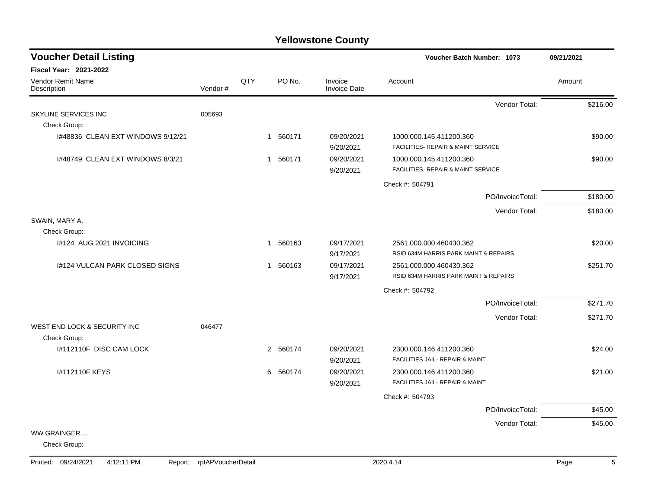| <b>Voucher Detail Listing</b>                |         |     |                        |                                | <b>Voucher Batch Number: 1073</b>                                | 09/21/2021 |
|----------------------------------------------|---------|-----|------------------------|--------------------------------|------------------------------------------------------------------|------------|
| <b>Fiscal Year: 2021-2022</b>                |         |     |                        |                                |                                                                  |            |
| Vendor Remit Name<br>Description             | Vendor# | QTY | PO No.                 | Invoice<br><b>Invoice Date</b> | Account                                                          | Amount     |
|                                              |         |     |                        |                                | Vendor Total:                                                    | \$216.00   |
| SKYLINE SERVICES INC                         | 005693  |     |                        |                                |                                                                  |            |
| Check Group:                                 |         |     |                        |                                |                                                                  |            |
| 1#48836 CLEAN EXT WINDOWS 9/12/21            |         |     | 1 560171               | 09/20/2021<br>9/20/2021        | 1000.000.145.411200.360<br>FACILITIES- REPAIR & MAINT SERVICE    | \$90.00    |
| 1#48749 CLEAN EXT WINDOWS 8/3/21             |         |     | 560171<br>$\mathbf{1}$ | 09/20/2021<br>9/20/2021        | 1000.000.145.411200.360<br>FACILITIES- REPAIR & MAINT SERVICE    | \$90.00    |
|                                              |         |     |                        |                                | Check #: 504791                                                  |            |
|                                              |         |     |                        |                                | PO/InvoiceTotal:                                                 | \$180.00   |
|                                              |         |     |                        |                                | Vendor Total:                                                    | \$180.00   |
| SWAIN, MARY A.                               |         |     |                        |                                |                                                                  |            |
| Check Group:                                 |         |     |                        |                                |                                                                  |            |
| I#124 AUG 2021 INVOICING                     |         |     | 1 560163               | 09/17/2021<br>9/17/2021        | 2561.000.000.460430.362<br>RSID 634M HARRIS PARK MAINT & REPAIRS | \$20.00    |
| 1#124 VULCAN PARK CLOSED SIGNS               |         |     | 1 560163               | 09/17/2021                     | 2561.000.000.460430.362                                          | \$251.70   |
|                                              |         |     |                        | 9/17/2021                      | RSID 634M HARRIS PARK MAINT & REPAIRS                            |            |
|                                              |         |     |                        |                                | Check #: 504792                                                  |            |
|                                              |         |     |                        |                                | PO/InvoiceTotal:                                                 | \$271.70   |
|                                              |         |     |                        |                                | Vendor Total:                                                    | \$271.70   |
| WEST END LOCK & SECURITY INC<br>Check Group: | 046477  |     |                        |                                |                                                                  |            |
| 1#112110F DISC CAM LOCK                      |         |     | 2 560174               | 09/20/2021                     | 2300.000.146.411200.360                                          | \$24.00    |
|                                              |         |     |                        | 9/20/2021                      | FACILITIES JAIL- REPAIR & MAINT                                  |            |
| I#112110F KEYS                               |         |     | 6 560174               | 09/20/2021                     | 2300.000.146.411200.360                                          | \$21.00    |
|                                              |         |     |                        | 9/20/2021                      | FACILITIES JAIL- REPAIR & MAINT                                  |            |
|                                              |         |     |                        |                                | Check #: 504793                                                  |            |
|                                              |         |     |                        |                                | PO/InvoiceTotal:                                                 | \$45.00    |
|                                              |         |     |                        |                                | Vendor Total:                                                    | \$45.00    |
| WW GRAINGER<br>Check Group:                  |         |     |                        |                                |                                                                  |            |